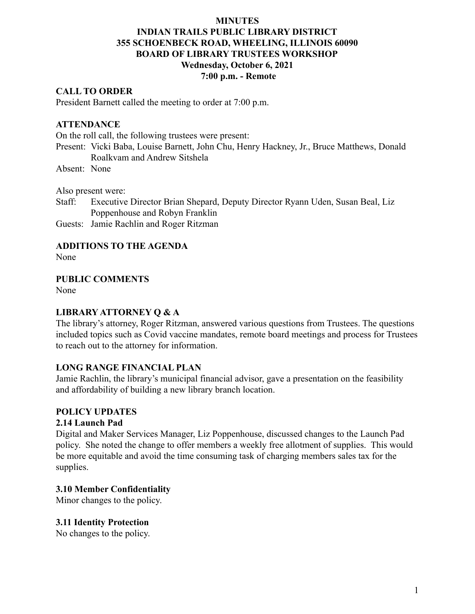#### **MINUTES**

# **INDIAN TRAILS PUBLIC LIBRARY DISTRICT 355 SCHOENBECK ROAD, WHEELING, ILLINOIS 60090 BOARD OF LIBRARY TRUSTEES WORKSHOP Wednesday, October 6, 2021 7:00 p.m. - Remote**

## **CALL TO ORDER**

President Barnett called the meeting to order at 7:00 p.m.

## **ATTENDANCE**

On the roll call, the following trustees were present:

Present: Vicki Baba, Louise Barnett, John Chu, Henry Hackney, Jr., Bruce Matthews, Donald Roalkvam and Andrew Sitshela

Absent: None

Also present were:

- Staff: Executive Director Brian Shepard, Deputy Director Ryann Uden, Susan Beal, Liz Poppenhouse and Robyn Franklin
- Guests: Jamie Rachlin and Roger Ritzman

# **ADDITIONS TO THE AGENDA**

None

**PUBLIC COMMENTS**

None

#### **LIBRARY ATTORNEY Q & A**

The library's attorney, Roger Ritzman, answered various questions from Trustees. The questions included topics such as Covid vaccine mandates, remote board meetings and process for Trustees to reach out to the attorney for information.

#### **LONG RANGE FINANCIAL PLAN**

Jamie Rachlin, the library's municipal financial advisor, gave a presentation on the feasibility and affordability of building a new library branch location.

#### **POLICY UPDATES**

#### **2.14 Launch Pad**

Digital and Maker Services Manager, Liz Poppenhouse, discussed changes to the Launch Pad policy. She noted the change to offer members a weekly free allotment of supplies. This would be more equitable and avoid the time consuming task of charging members sales tax for the supplies.

#### **3.10 Member Confidentiality**

Minor changes to the policy.

#### **3.11 Identity Protection**

No changes to the policy.